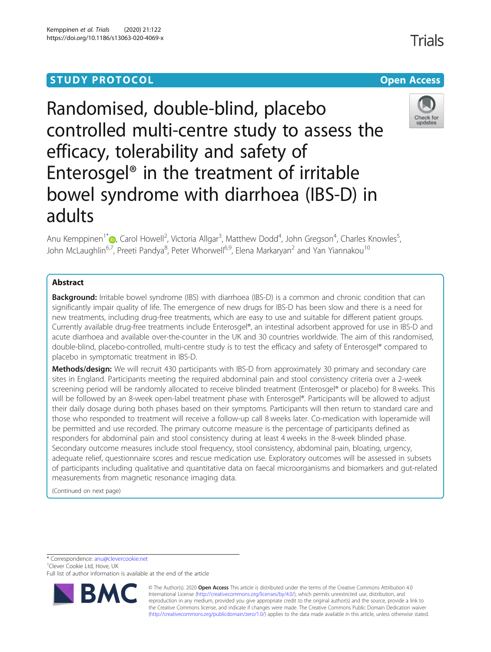# **STUDY PROTOCOL CONSUMING THE RESERVE ACCESS**

# Randomised, double-blind, placebo controlled multi-centre study to assess the efficacy, tolerability and safety of Enterosgel® in the treatment of irritable bowel syndrome with diarrhoea (IBS-D) in adults

Anu Kemppinen<sup>1\*</sup> D[,](http://orcid.org/0000-0003-4673-6497) Carol Howell<sup>2</sup>, Victoria Allgar<sup>3</sup>, Matthew Dodd<sup>4</sup>, John Gregson<sup>4</sup>, Charles Knowles<sup>5</sup> , John McLaughlin<sup>6,7</sup>, Preeti Pandya<sup>8</sup>, Peter Whorwell<sup>6,9</sup>, Elena Markaryan<sup>2</sup> and Yan Yiannakou<sup>10</sup>

# Abstract

**Background:** Irritable bowel syndrome (IBS) with diarrhoea (IBS-D) is a common and chronic condition that can significantly impair quality of life. The emergence of new drugs for IBS-D has been slow and there is a need for new treatments, including drug-free treatments, which are easy to use and suitable for different patient groups. Currently available drug-free treatments include Enterosgel®, an intestinal adsorbent approved for use in IBS-D and acute diarrhoea and available over-the-counter in the UK and 30 countries worldwide. The aim of this randomised, double-blind, placebo-controlled, multi-centre study is to test the efficacy and safety of Enterosgel® compared to placebo in symptomatic treatment in IBS-D.

Methods/design: We will recruit 430 participants with IBS-D from approximately 30 primary and secondary care sites in England. Participants meeting the required abdominal pain and stool consistency criteria over a 2-week screening period will be randomly allocated to receive blinded treatment (Enterosgel® or placebo) for 8 weeks. This will be followed by an 8-week open-label treatment phase with Enterosgel®. Participants will be allowed to adjust their daily dosage during both phases based on their symptoms. Participants will then return to standard care and those who responded to treatment will receive a follow-up call 8 weeks later. Co-medication with loperamide will be permitted and use recorded. The primary outcome measure is the percentage of participants defined as responders for abdominal pain and stool consistency during at least 4 weeks in the 8-week blinded phase. Secondary outcome measures include stool frequency, stool consistency, abdominal pain, bloating, urgency, adequate relief, questionnaire scores and rescue medication use. Exploratory outcomes will be assessed in subsets of participants including qualitative and quantitative data on faecal microorganisms and biomarkers and gut-related measurements from magnetic resonance imaging data.

(Continued on next page)

\* Correspondence: [anu@clevercookie.net](mailto:anu@clevercookie.net) <sup>1</sup>

<sup>1</sup> Clever Cookie Ltd, Hove, UK

Full list of author information is available at the end of the article

Kemppinen et al. Trials (2020) 21:122



© The Author(s). 2020 **Open Access** This article is distributed under the terms of the Creative Commons Attribution 4.0 International License [\(http://creativecommons.org/licenses/by/4.0/](http://creativecommons.org/licenses/by/4.0/)), which permits unrestricted use, distribution, and reproduction in any medium, provided you give appropriate credit to the original author(s) and the source, provide a link to the Creative Commons license, and indicate if changes were made. The Creative Commons Public Domain Dedication waiver [\(http://creativecommons.org/publicdomain/zero/1.0/](http://creativecommons.org/publicdomain/zero/1.0/)) applies to the data made available in this article, unless otherwise stated.



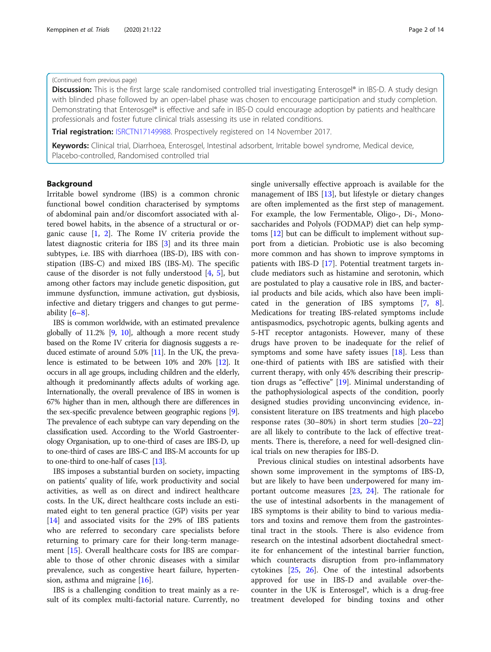# (Continued from previous page)

Discussion: This is the first large scale randomised controlled trial investigating Enterosgel® in IBS-D. A study design with blinded phase followed by an open-label phase was chosen to encourage participation and study completion. Demonstrating that Enterosgel® is effective and safe in IBS-D could encourage adoption by patients and healthcare professionals and foster future clinical trials assessing its use in related conditions.

**Trial registration:** [ISRCTN17149988](https://doi.org/10.1186/ISRCTN17149988). Prospectively registered on 14 November 2017.

Keywords: Clinical trial, Diarrhoea, Enterosgel, Intestinal adsorbent, Irritable bowel syndrome, Medical device, Placebo-controlled, Randomised controlled trial

# Background

Irritable bowel syndrome (IBS) is a common chronic functional bowel condition characterised by symptoms of abdominal pain and/or discomfort associated with altered bowel habits, in the absence of a structural or organic cause [\[1](#page-12-0), [2](#page-12-0)]. The Rome IV criteria provide the latest diagnostic criteria for IBS [[3\]](#page-12-0) and its three main subtypes, i.e. IBS with diarrhoea (IBS-D), IBS with constipation (IBS-C) and mixed IBS (IBS-M). The specific cause of the disorder is not fully understood [[4,](#page-12-0) [5\]](#page-12-0), but among other factors may include genetic disposition, gut immune dysfunction, immune activation, gut dysbiosis, infective and dietary triggers and changes to gut permeability  $[6-8]$  $[6-8]$  $[6-8]$  $[6-8]$  $[6-8]$ .

IBS is common worldwide, with an estimated prevalence globally of  $11.2\%$  [\[9,](#page-12-0) [10](#page-12-0)], although a more recent study based on the Rome IV criteria for diagnosis suggests a reduced estimate of around 5.0% [\[11\]](#page-12-0). In the UK, the prevalence is estimated to be between 10% and 20% [\[12](#page-12-0)]. It occurs in all age groups, including children and the elderly, although it predominantly affects adults of working age. Internationally, the overall prevalence of IBS in women is 67% higher than in men, although there are differences in the sex-specific prevalence between geographic regions [[9](#page-12-0)]. The prevalence of each subtype can vary depending on the classification used. According to the World Gastroenterology Organisation, up to one-third of cases are IBS-D, up to one-third of cases are IBS-C and IBS-M accounts for up to one-third to one-half of cases [[13](#page-12-0)].

IBS imposes a substantial burden on society, impacting on patients' quality of life, work productivity and social activities, as well as on direct and indirect healthcare costs. In the UK, direct healthcare costs include an estimated eight to ten general practice (GP) visits per year [[14\]](#page-12-0) and associated visits for the 29% of IBS patients who are referred to secondary care specialists before returning to primary care for their long-term management [[15\]](#page-12-0). Overall healthcare costs for IBS are comparable to those of other chronic diseases with a similar prevalence, such as congestive heart failure, hypertension, asthma and migraine [[16\]](#page-12-0).

IBS is a challenging condition to treat mainly as a result of its complex multi-factorial nature. Currently, no

single universally effective approach is available for the management of IBS [[13\]](#page-12-0), but lifestyle or dietary changes are often implemented as the first step of management. For example, the low Fermentable, Oligo-, Di-, Monosaccharides and Polyols (FODMAP) diet can help symptoms [\[12\]](#page-12-0) but can be difficult to implement without support from a dietician. Probiotic use is also becoming more common and has shown to improve symptoms in patients with IBS-D [[17\]](#page-12-0). Potential treatment targets include mediators such as histamine and serotonin, which are postulated to play a causative role in IBS, and bacterial products and bile acids, which also have been implicated in the generation of IBS symptoms [\[7](#page-12-0), [8](#page-12-0)]. Medications for treating IBS-related symptoms include antispasmodics, psychotropic agents, bulking agents and 5-HT receptor antagonists. However, many of these drugs have proven to be inadequate for the relief of symptoms and some have safety issues [[18](#page-13-0)]. Less than one-third of patients with IBS are satisfied with their current therapy, with only 45% describing their prescription drugs as "effective" [[19\]](#page-13-0). Minimal understanding of the pathophysiological aspects of the condition, poorly designed studies providing unconvincing evidence, inconsistent literature on IBS treatments and high placebo response rates (30–80%) in short term studies [[20](#page-13-0)–[22](#page-13-0)] are all likely to contribute to the lack of effective treatments. There is, therefore, a need for well-designed clinical trials on new therapies for IBS-D.

Previous clinical studies on intestinal adsorbents have shown some improvement in the symptoms of IBS-D, but are likely to have been underpowered for many important outcome measures [\[23,](#page-13-0) [24](#page-13-0)]. The rationale for the use of intestinal adsorbents in the management of IBS symptoms is their ability to bind to various mediators and toxins and remove them from the gastrointestinal tract in the stools. There is also evidence from research on the intestinal adsorbent dioctahedral smectite for enhancement of the intestinal barrier function, which counteracts disruption from pro-inflammatory cytokines [[25](#page-13-0), [26\]](#page-13-0). One of the intestinal adsorbents approved for use in IBS-D and available over-thecounter in the UK is Enterosgel®, which is a drug-free treatment developed for binding toxins and other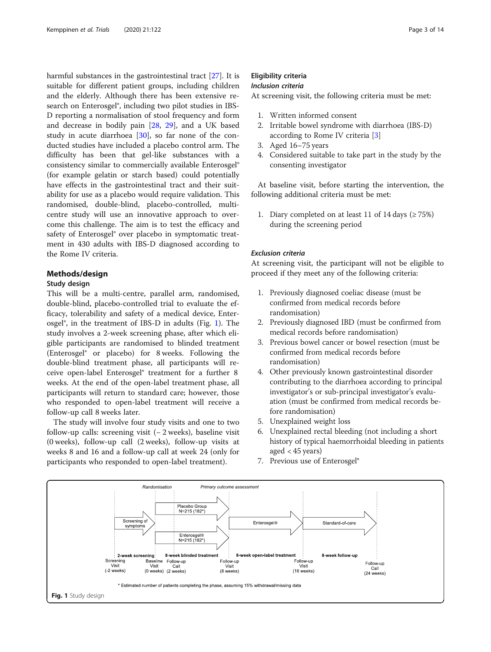harmful substances in the gastrointestinal tract [\[27](#page-13-0)]. It is suitable for different patient groups, including children and the elderly. Although there has been extensive research on Enterosgel®, including two pilot studies in IBS-D reporting a normalisation of stool frequency and form and decrease in bodily pain [[28,](#page-13-0) [29](#page-13-0)], and a UK based study in acute diarrhoea [\[30](#page-13-0)], so far none of the conducted studies have included a placebo control arm. The difficulty has been that gel-like substances with a consistency similar to commercially available Enterosgel® (for example gelatin or starch based) could potentially have effects in the gastrointestinal tract and their suitability for use as a placebo would require validation. This randomised, double-blind, placebo-controlled, multicentre study will use an innovative approach to overcome this challenge. The aim is to test the efficacy and safety of Enterosgel<sup>®</sup> over placebo in symptomatic treatment in 430 adults with IBS-D diagnosed according to the Rome IV criteria.

# Methods/design

# Study design

This will be a multi-centre, parallel arm, randomised, double-blind, placebo-controlled trial to evaluate the efficacy, tolerability and safety of a medical device, Enterosgel®, in the treatment of IBS-D in adults (Fig. 1). The study involves a 2-week screening phase, after which eligible participants are randomised to blinded treatment (Enterosgel® or placebo) for 8 weeks. Following the double-blind treatment phase, all participants will receive open-label Enterosgel® treatment for a further 8 weeks. At the end of the open-label treatment phase, all participants will return to standard care; however, those who responded to open-label treatment will receive a follow-up call 8 weeks later.

The study will involve four study visits and one to two follow-up calls: screening visit (− 2 weeks), baseline visit (0 weeks), follow-up call (2 weeks), follow-up visits at weeks 8 and 16 and a follow-up call at week 24 (only for participants who responded to open-label treatment).

# Eligibility criteria Inclusion criteria

At screening visit, the following criteria must be met:

- 1. Written informed consent
- 2. Irritable bowel syndrome with diarrhoea (IBS-D) according to Rome IV criteria [\[3](#page-12-0)]
- 3. Aged 16–75 years
- 4. Considered suitable to take part in the study by the consenting investigator

At baseline visit, before starting the intervention, the following additional criteria must be met:

1. Diary completed on at least 11 of 14 days ( $\geq$  75%) during the screening period

#### Exclusion criteria

At screening visit, the participant will not be eligible to proceed if they meet any of the following criteria:

- 1. Previously diagnosed coeliac disease (must be confirmed from medical records before randomisation)
- 2. Previously diagnosed IBD (must be confirmed from medical records before randomisation)
- 3. Previous bowel cancer or bowel resection (must be confirmed from medical records before randomisation)
- 4. Other previously known gastrointestinal disorder contributing to the diarrhoea according to principal investigator's or sub-principal investigator's evaluation (must be confirmed from medical records before randomisation)
- 5. Unexplained weight loss
- 6. Unexplained rectal bleeding (not including a short history of typical haemorrhoidal bleeding in patients aged < 45 years)
- 7. Previous use of Enterosgel®

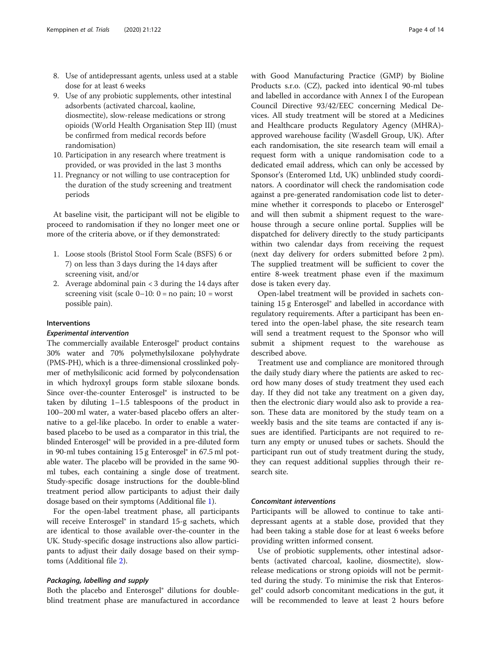- 8. Use of antidepressant agents, unless used at a stable dose for at least 6 weeks
- 9. Use of any probiotic supplements, other intestinal adsorbents (activated charcoal, kaoline, diosmectite), slow-release medications or strong opioids (World Health Organisation Step III) (must be confirmed from medical records before randomisation)
- 10. Participation in any research where treatment is provided, or was provided in the last 3 months
- 11. Pregnancy or not willing to use contraception for the duration of the study screening and treatment periods

At baseline visit, the participant will not be eligible to proceed to randomisation if they no longer meet one or more of the criteria above, or if they demonstrated:

- 1. Loose stools (Bristol Stool Form Scale (BSFS) 6 or 7) on less than 3 days during the 14 days after screening visit, and/or
- 2. Average abdominal pain < 3 during the 14 days after screening visit (scale  $0-10$ :  $0 =$  no pain;  $10 =$  worst possible pain).

# Interventions

# Experimental intervention

The commercially available Enterosgel® product contains 30% water and 70% polymethylsiloxane polyhydrate (PMS-PH), which is a three-dimensional crosslinked polymer of methylsiliconic acid formed by polycondensation in which hydroxyl groups form stable siloxane bonds. Since over-the-counter Enterosgel<sup>®</sup> is instructed to be taken by diluting 1–1.5 tablespoons of the product in 100–200 ml water, a water-based placebo offers an alternative to a gel-like placebo. In order to enable a waterbased placebo to be used as a comparator in this trial, the blinded Enterosgel® will be provided in a pre-diluted form in 90-ml tubes containing 15 g Enterosgel<sup>®</sup> in 67.5 ml potable water. The placebo will be provided in the same 90 ml tubes, each containing a single dose of treatment. Study-specific dosage instructions for the double-blind treatment period allow participants to adjust their daily dosage based on their symptoms (Additional file [1](#page-12-0)).

For the open-label treatment phase, all participants will receive Enterosgel® in standard 15-g sachets, which are identical to those available over-the-counter in the UK. Study-specific dosage instructions also allow participants to adjust their daily dosage based on their symptoms (Additional file [2](#page-12-0)).

# Packaging, labelling and supply

Both the placebo and Enterosgel® dilutions for doubleblind treatment phase are manufactured in accordance with Good Manufacturing Practice (GMP) by Bioline Products s.r.o. (CZ), packed into identical 90-ml tubes and labelled in accordance with Annex I of the European Council Directive 93/42/EEC concerning Medical Devices. All study treatment will be stored at a Medicines and Healthcare products Regulatory Agency (MHRA) approved warehouse facility (Wasdell Group, UK). After each randomisation, the site research team will email a request form with a unique randomisation code to a dedicated email address, which can only be accessed by Sponsor's (Enteromed Ltd, UK) unblinded study coordinators. A coordinator will check the randomisation code against a pre-generated randomisation code list to determine whether it corresponds to placebo or Enterosgel® and will then submit a shipment request to the warehouse through a secure online portal. Supplies will be dispatched for delivery directly to the study participants within two calendar days from receiving the request (next day delivery for orders submitted before 2 pm). The supplied treatment will be sufficient to cover the entire 8-week treatment phase even if the maximum dose is taken every day.

Open-label treatment will be provided in sachets containing 15 g Enterosgel® and labelled in accordance with regulatory requirements. After a participant has been entered into the open-label phase, the site research team will send a treatment request to the Sponsor who will submit a shipment request to the warehouse as described above.

Treatment use and compliance are monitored through the daily study diary where the patients are asked to record how many doses of study treatment they used each day. If they did not take any treatment on a given day, then the electronic diary would also ask to provide a reason. These data are monitored by the study team on a weekly basis and the site teams are contacted if any issues are identified. Participants are not required to return any empty or unused tubes or sachets. Should the participant run out of study treatment during the study, they can request additional supplies through their research site.

# Concomitant interventions

Participants will be allowed to continue to take antidepressant agents at a stable dose, provided that they had been taking a stable dose for at least 6 weeks before providing written informed consent.

Use of probiotic supplements, other intestinal adsorbents (activated charcoal, kaoline, diosmectite), slowrelease medications or strong opioids will not be permitted during the study. To minimise the risk that Enterosgel® could adsorb concomitant medications in the gut, it will be recommended to leave at least 2 hours before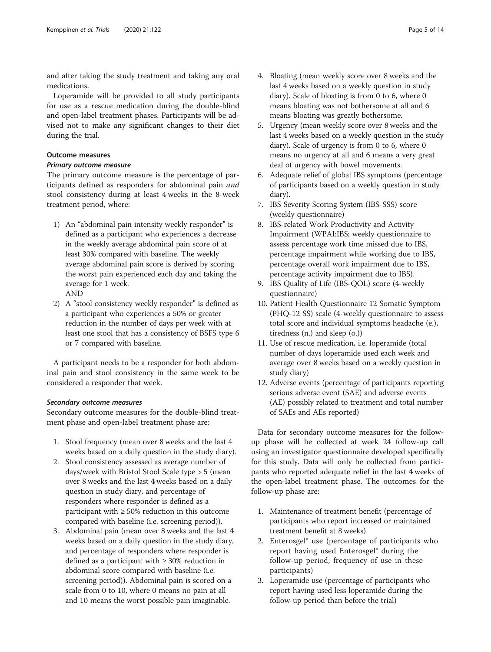and after taking the study treatment and taking any oral medications.

Loperamide will be provided to all study participants for use as a rescue medication during the double-blind and open-label treatment phases. Participants will be advised not to make any significant changes to their diet during the trial.

# Outcome measures

# Primary outcome measure

The primary outcome measure is the percentage of participants defined as responders for abdominal pain and stool consistency during at least 4 weeks in the 8-week treatment period, where:

- 1) An "abdominal pain intensity weekly responder" is defined as a participant who experiences a decrease in the weekly average abdominal pain score of at least 30% compared with baseline. The weekly average abdominal pain score is derived by scoring the worst pain experienced each day and taking the average for 1 week. AND
- 2) A "stool consistency weekly responder" is defined as a participant who experiences a 50% or greater reduction in the number of days per week with at least one stool that has a consistency of BSFS type 6

or 7 compared with baseline.

A participant needs to be a responder for both abdominal pain and stool consistency in the same week to be considered a responder that week.

# Secondary outcome measures

Secondary outcome measures for the double-blind treatment phase and open-label treatment phase are:

- 1. Stool frequency (mean over 8 weeks and the last 4 weeks based on a daily question in the study diary).
- 2. Stool consistency assessed as average number of days/week with Bristol Stool Scale type > 5 (mean over 8 weeks and the last 4 weeks based on a daily question in study diary, and percentage of responders where responder is defined as a participant with  $\geq$  50% reduction in this outcome compared with baseline (i.e. screening period)).
- 3. Abdominal pain (mean over 8 weeks and the last 4 weeks based on a daily question in the study diary, and percentage of responders where responder is defined as a participant with  $\geq$  30% reduction in abdominal score compared with baseline (i.e. screening period)). Abdominal pain is scored on a scale from 0 to 10, where 0 means no pain at all and 10 means the worst possible pain imaginable.
- 4. Bloating (mean weekly score over 8 weeks and the last 4 weeks based on a weekly question in study diary). Scale of bloating is from 0 to 6, where 0 means bloating was not bothersome at all and 6 means bloating was greatly bothersome.
- 5. Urgency (mean weekly score over 8 weeks and the last 4 weeks based on a weekly question in the study diary). Scale of urgency is from 0 to 6, where 0 means no urgency at all and 6 means a very great deal of urgency with bowel movements.
- 6. Adequate relief of global IBS symptoms (percentage of participants based on a weekly question in study diary).
- 7. IBS Severity Scoring System (IBS-SSS) score (weekly questionnaire)
- 8. IBS-related Work Productivity and Activity Impairment (WPAI:IBS; weekly questionnaire to assess percentage work time missed due to IBS, percentage impairment while working due to IBS, percentage overall work impairment due to IBS, percentage activity impairment due to IBS).
- 9. IBS Quality of Life (IBS-QOL) score (4-weekly questionnaire)
- 10. Patient Health Questionnaire 12 Somatic Symptom (PHQ-12 SS) scale (4-weekly questionnaire to assess total score and individual symptoms headache (e.), tiredness (n.) and sleep (o.))
- 11. Use of rescue medication, i.e. loperamide (total number of days loperamide used each week and average over 8 weeks based on a weekly question in study diary)
- 12. Adverse events (percentage of participants reporting serious adverse event (SAE) and adverse events (AE) possibly related to treatment and total number of SAEs and AEs reported)

Data for secondary outcome measures for the followup phase will be collected at week 24 follow-up call using an investigator questionnaire developed specifically for this study. Data will only be collected from participants who reported adequate relief in the last 4 weeks of the open-label treatment phase. The outcomes for the follow-up phase are:

- 1. Maintenance of treatment benefit (percentage of participants who report increased or maintained treatment benefit at 8 weeks)
- 2. Enterosgel® use (percentage of participants who report having used Enterosgel® during the follow-up period; frequency of use in these participants)
- 3. Loperamide use (percentage of participants who report having used less loperamide during the follow-up period than before the trial)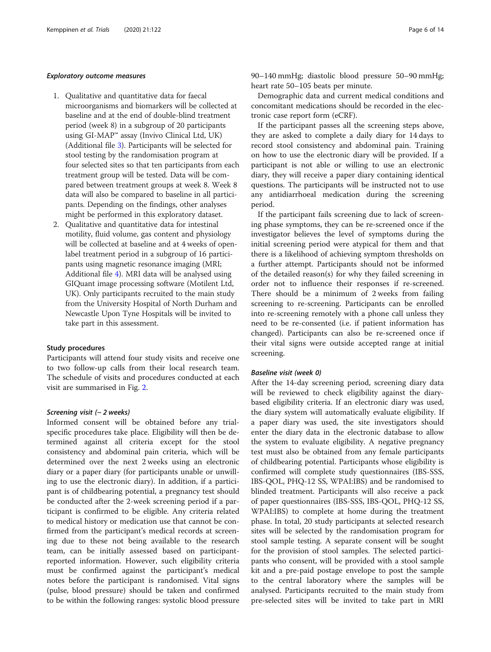# Exploratory outcome measures

- 1. Qualitative and quantitative data for faecal microorganisms and biomarkers will be collected at baseline and at the end of double-blind treatment period (week 8) in a subgroup of 20 participants using GI-MAP™ assay (Invivo Clinical Ltd, UK) (Additional file [3](#page-12-0)). Participants will be selected for stool testing by the randomisation program at four selected sites so that ten participants from each treatment group will be tested. Data will be compared between treatment groups at week 8. Week 8 data will also be compared to baseline in all participants. Depending on the findings, other analyses might be performed in this exploratory dataset.
- 2. Qualitative and quantitative data for intestinal motility, fluid volume, gas content and physiology will be collected at baseline and at 4 weeks of openlabel treatment period in a subgroup of 16 participants using magnetic resonance imaging (MRI; Additional file [4](#page-12-0)). MRI data will be analysed using GIQuant image processing software (Motilent Ltd, UK). Only participants recruited to the main study from the University Hospital of North Durham and Newcastle Upon Tyne Hospitals will be invited to take part in this assessment.

#### Study procedures

Participants will attend four study visits and receive one to two follow-up calls from their local research team. The schedule of visits and procedures conducted at each visit are summarised in Fig. [2](#page-6-0).

#### Screening visit (− 2 weeks)

Informed consent will be obtained before any trialspecific procedures take place. Eligibility will then be determined against all criteria except for the stool consistency and abdominal pain criteria, which will be determined over the next 2 weeks using an electronic diary or a paper diary (for participants unable or unwilling to use the electronic diary). In addition, if a participant is of childbearing potential, a pregnancy test should be conducted after the 2-week screening period if a participant is confirmed to be eligible. Any criteria related to medical history or medication use that cannot be confirmed from the participant's medical records at screening due to these not being available to the research team, can be initially assessed based on participantreported information. However, such eligibility criteria must be confirmed against the participant's medical notes before the participant is randomised. Vital signs (pulse, blood pressure) should be taken and confirmed to be within the following ranges: systolic blood pressure 90–140 mmHg; diastolic blood pressure 50–90 mmHg; heart rate 50–105 beats per minute.

Demographic data and current medical conditions and concomitant medications should be recorded in the electronic case report form (eCRF).

If the participant passes all the screening steps above, they are asked to complete a daily diary for 14 days to record stool consistency and abdominal pain. Training on how to use the electronic diary will be provided. If a participant is not able or willing to use an electronic diary, they will receive a paper diary containing identical questions. The participants will be instructed not to use any antidiarrhoeal medication during the screening period.

If the participant fails screening due to lack of screening phase symptoms, they can be re-screened once if the investigator believes the level of symptoms during the initial screening period were atypical for them and that there is a likelihood of achieving symptom thresholds on a further attempt. Participants should not be informed of the detailed reason(s) for why they failed screening in order not to influence their responses if re-screened. There should be a minimum of 2 weeks from failing screening to re-screening. Participants can be enrolled into re-screening remotely with a phone call unless they need to be re-consented (i.e. if patient information has changed). Participants can also be re-screened once if their vital signs were outside accepted range at initial screening.

# Baseline visit (week 0)

After the 14-day screening period, screening diary data will be reviewed to check eligibility against the diarybased eligibility criteria. If an electronic diary was used, the diary system will automatically evaluate eligibility. If a paper diary was used, the site investigators should enter the diary data in the electronic database to allow the system to evaluate eligibility. A negative pregnancy test must also be obtained from any female participants of childbearing potential. Participants whose eligibility is confirmed will complete study questionnaires (IBS-SSS, IBS-QOL, PHQ-12 SS, WPAI:IBS) and be randomised to blinded treatment. Participants will also receive a pack of paper questionnaires (IBS-SSS, IBS-QOL, PHQ-12 SS, WPAI:IBS) to complete at home during the treatment phase. In total, 20 study participants at selected research sites will be selected by the randomisation program for stool sample testing. A separate consent will be sought for the provision of stool samples. The selected participants who consent, will be provided with a stool sample kit and a pre-paid postage envelope to post the sample to the central laboratory where the samples will be analysed. Participants recruited to the main study from pre-selected sites will be invited to take part in MRI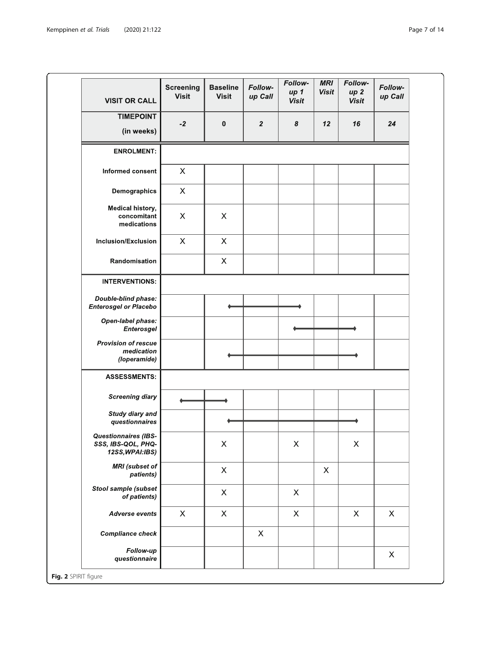<span id="page-6-0"></span>

| <b>VISIT OR CALL</b>                                                 | <b>Screening</b><br><b>Visit</b> | <b>Baseline</b><br><b>Visit</b> | Follow-<br>up Call | Follow-<br>up <sub>1</sub><br><b>Visit</b> | <b>MRI</b><br><b>Visit</b> | Follow-<br>up <sub>2</sub><br><b>Visit</b> | Follow-<br>up Call        |
|----------------------------------------------------------------------|----------------------------------|---------------------------------|--------------------|--------------------------------------------|----------------------------|--------------------------------------------|---------------------------|
| <b>TIMEPOINT</b><br>(in weeks)                                       | $-2$                             | $\bf{0}$                        | $\boldsymbol{2}$   | 8                                          | 12                         | 16                                         | 24                        |
| <b>ENROLMENT:</b>                                                    |                                  |                                 |                    |                                            |                            |                                            |                           |
| Informed consent                                                     | X                                |                                 |                    |                                            |                            |                                            |                           |
| Demographics                                                         | $\times$                         |                                 |                    |                                            |                            |                                            |                           |
| Medical history,<br>concomitant<br>medications                       | $\boldsymbol{\mathsf{X}}$        | $\boldsymbol{\mathsf{X}}$       |                    |                                            |                            |                                            |                           |
| Inclusion/Exclusion                                                  | $\boldsymbol{\mathsf{X}}$        | $\boldsymbol{\mathsf{X}}$       |                    |                                            |                            |                                            |                           |
| Randomisation                                                        |                                  | $\boldsymbol{\mathsf{X}}$       |                    |                                            |                            |                                            |                           |
| <b>INTERVENTIONS:</b>                                                |                                  |                                 |                    |                                            |                            |                                            |                           |
| Double-blind phase:<br><b>Enterosgel or Placebo</b>                  |                                  |                                 |                    |                                            |                            |                                            |                           |
| Open-label phase:<br>Enterosgel                                      |                                  |                                 |                    |                                            |                            |                                            |                           |
| <b>Provision of rescue</b><br>medication<br>(loperamide)             |                                  |                                 |                    |                                            |                            |                                            |                           |
| <b>ASSESSMENTS:</b>                                                  |                                  |                                 |                    |                                            |                            |                                            |                           |
| <b>Screening diary</b>                                               |                                  |                                 |                    |                                            |                            |                                            |                           |
| Study diary and                                                      |                                  |                                 |                    |                                            |                            |                                            |                           |
| questionnaires                                                       |                                  |                                 |                    |                                            |                            |                                            |                           |
| <b>Questionnaires (IBS-</b><br>SSS, IBS-QOL, PHQ-<br>12SS, WPAI:IBS) |                                  | X                               |                    | X                                          |                            | X                                          |                           |
| <b>MRI</b> (subset of<br>patients)                                   |                                  | $\boldsymbol{\mathsf{X}}$       |                    |                                            | $\boldsymbol{\mathsf{X}}$  |                                            |                           |
| Stool sample (subset<br>of patients)                                 |                                  | $\boldsymbol{\mathsf{X}}$       |                    | $\boldsymbol{\mathsf{X}}$                  |                            |                                            |                           |
| <b>Adverse events</b>                                                | $\mathsf X$                      | $\mathsf X$                     |                    | $\boldsymbol{\mathsf{X}}$                  |                            | $\mathsf X$                                | $\boldsymbol{\mathsf{X}}$ |
| <b>Compliance check</b>                                              |                                  |                                 | $\pmb{\times}$     |                                            |                            |                                            |                           |
| Follow-up<br>questionnaire                                           |                                  |                                 |                    |                                            |                            |                                            | $\mathsf X$               |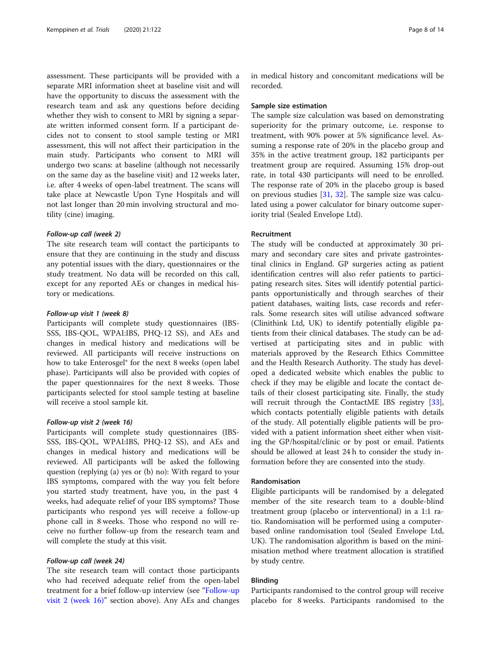assessment. These participants will be provided with a separate MRI information sheet at baseline visit and will have the opportunity to discuss the assessment with the research team and ask any questions before deciding whether they wish to consent to MRI by signing a separate written informed consent form. If a participant decides not to consent to stool sample testing or MRI assessment, this will not affect their participation in the main study. Participants who consent to MRI will undergo two scans: at baseline (although not necessarily on the same day as the baseline visit) and 12 weeks later, i.e. after 4 weeks of open-label treatment. The scans will take place at Newcastle Upon Tyne Hospitals and will not last longer than 20 min involving structural and motility (cine) imaging.

#### Follow-up call (week 2)

The site research team will contact the participants to ensure that they are continuing in the study and discuss any potential issues with the diary, questionnaires or the study treatment. No data will be recorded on this call, except for any reported AEs or changes in medical history or medications.

#### Follow-up visit 1 (week 8)

Participants will complete study questionnaires (IBS-SSS, IBS-QOL, WPAI:IBS, PHQ-12 SS), and AEs and changes in medical history and medications will be reviewed. All participants will receive instructions on how to take Enterosgel® for the next 8 weeks (open label phase). Participants will also be provided with copies of the paper questionnaires for the next 8 weeks. Those participants selected for stool sample testing at baseline will receive a stool sample kit.

# Follow-up visit 2 (week 16)

Participants will complete study questionnaires (IBS-SSS, IBS-QOL, WPAI:IBS, PHQ-12 SS), and AEs and changes in medical history and medications will be reviewed. All participants will be asked the following question (replying (a) yes or (b) no): With regard to your IBS symptoms, compared with the way you felt before you started study treatment, have you, in the past 4 weeks, had adequate relief of your IBS symptoms? Those participants who respond yes will receive a follow-up phone call in 8 weeks. Those who respond no will receive no further follow-up from the research team and will complete the study at this visit.

# Follow-up call (week 24)

The site research team will contact those participants who had received adequate relief from the open-label treatment for a brief follow-up interview (see "Follow-up visit 2 (week 16)" section above). Any AEs and changes

in medical history and concomitant medications will be recorded.

#### Sample size estimation

The sample size calculation was based on demonstrating superiority for the primary outcome, i.e. response to treatment, with 90% power at 5% significance level. Assuming a response rate of 20% in the placebo group and 35% in the active treatment group, 182 participants per treatment group are required. Assuming 15% drop-out rate, in total 430 participants will need to be enrolled. The response rate of 20% in the placebo group is based on previous studies [\[31](#page-13-0), [32\]](#page-13-0). The sample size was calculated using a power calculator for binary outcome superiority trial (Sealed Envelope Ltd).

#### Recruitment

The study will be conducted at approximately 30 primary and secondary care sites and private gastrointestinal clinics in England. GP surgeries acting as patient identification centres will also refer patients to participating research sites. Sites will identify potential participants opportunistically and through searches of their patient databases, waiting lists, case records and referrals. Some research sites will utilise advanced software (Clinithink Ltd, UK) to identify potentially eligible patients from their clinical databases. The study can be advertised at participating sites and in public with materials approved by the Research Ethics Committee and the Health Research Authority. The study has developed a dedicated website which enables the public to check if they may be eligible and locate the contact details of their closest participating site. Finally, the study will recruit through the ContactME IBS registry [\[33](#page-13-0)], which contacts potentially eligible patients with details of the study. All potentially eligible patients will be provided with a patient information sheet either when visiting the GP/hospital/clinic or by post or email. Patients should be allowed at least 24 h to consider the study information before they are consented into the study.

#### Randomisation

Eligible participants will be randomised by a delegated member of the site research team to a double-blind treatment group (placebo or interventional) in a 1:1 ratio. Randomisation will be performed using a computerbased online randomisation tool (Sealed Envelope Ltd, UK). The randomisation algorithm is based on the minimisation method where treatment allocation is stratified by study centre.

#### Blinding

Participants randomised to the control group will receive placebo for 8 weeks. Participants randomised to the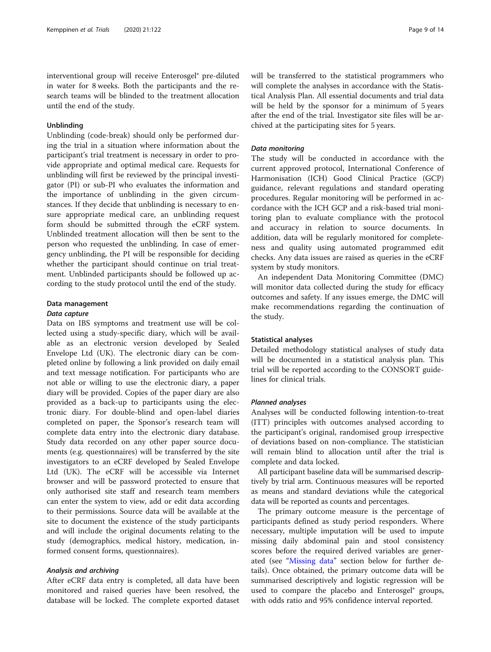interventional group will receive Enterosgel® pre-diluted in water for 8 weeks. Both the participants and the research teams will be blinded to the treatment allocation until the end of the study.

# **Unblinding**

Unblinding (code-break) should only be performed during the trial in a situation where information about the participant's trial treatment is necessary in order to provide appropriate and optimal medical care. Requests for unblinding will first be reviewed by the principal investigator (PI) or sub-PI who evaluates the information and the importance of unblinding in the given circumstances. If they decide that unblinding is necessary to ensure appropriate medical care, an unblinding request form should be submitted through the eCRF system. Unblinded treatment allocation will then be sent to the person who requested the unblinding. In case of emergency unblinding, the PI will be responsible for deciding whether the participant should continue on trial treatment. Unblinded participants should be followed up according to the study protocol until the end of the study.

# Data management

# Data capture

Data on IBS symptoms and treatment use will be collected using a study-specific diary, which will be available as an electronic version developed by Sealed Envelope Ltd (UK). The electronic diary can be completed online by following a link provided on daily email and text message notification. For participants who are not able or willing to use the electronic diary, a paper diary will be provided. Copies of the paper diary are also provided as a back-up to participants using the electronic diary. For double-blind and open-label diaries completed on paper, the Sponsor's research team will complete data entry into the electronic diary database. Study data recorded on any other paper source documents (e.g. questionnaires) will be transferred by the site investigators to an eCRF developed by Sealed Envelope Ltd (UK). The eCRF will be accessible via Internet browser and will be password protected to ensure that only authorised site staff and research team members can enter the system to view, add or edit data according to their permissions. Source data will be available at the site to document the existence of the study participants and will include the original documents relating to the study (demographics, medical history, medication, informed consent forms, questionnaires).

# Analysis and archiving

After eCRF data entry is completed, all data have been monitored and raised queries have been resolved, the database will be locked. The complete exported dataset will be transferred to the statistical programmers who will complete the analyses in accordance with the Statistical Analysis Plan. All essential documents and trial data will be held by the sponsor for a minimum of 5 years after the end of the trial. Investigator site files will be archived at the participating sites for 5 years.

# Data monitoring

The study will be conducted in accordance with the current approved protocol, International Conference of Harmonisation (ICH) Good Clinical Practice (GCP) guidance, relevant regulations and standard operating procedures. Regular monitoring will be performed in accordance with the ICH GCP and a risk-based trial monitoring plan to evaluate compliance with the protocol and accuracy in relation to source documents. In addition, data will be regularly monitored for completeness and quality using automated programmed edit checks. Any data issues are raised as queries in the eCRF system by study monitors.

An independent Data Monitoring Committee (DMC) will monitor data collected during the study for efficacy outcomes and safety. If any issues emerge, the DMC will make recommendations regarding the continuation of the study.

# Statistical analyses

Detailed methodology statistical analyses of study data will be documented in a statistical analysis plan. This trial will be reported according to the CONSORT guidelines for clinical trials.

#### Planned analyses

Analyses will be conducted following intention-to-treat (ITT) principles with outcomes analysed according to the participant's original, randomised group irrespective of deviations based on non-compliance. The statistician will remain blind to allocation until after the trial is complete and data locked.

All participant baseline data will be summarised descriptively by trial arm. Continuous measures will be reported as means and standard deviations while the categorical data will be reported as counts and percentages.

The primary outcome measure is the percentage of participants defined as study period responders. Where necessary, multiple imputation will be used to impute missing daily abdominal pain and stool consistency scores before the required derived variables are generated (see "[Missing data](#page-9-0)" section below for further details). Once obtained, the primary outcome data will be summarised descriptively and logistic regression will be used to compare the placebo and Enterosgel® groups, with odds ratio and 95% confidence interval reported.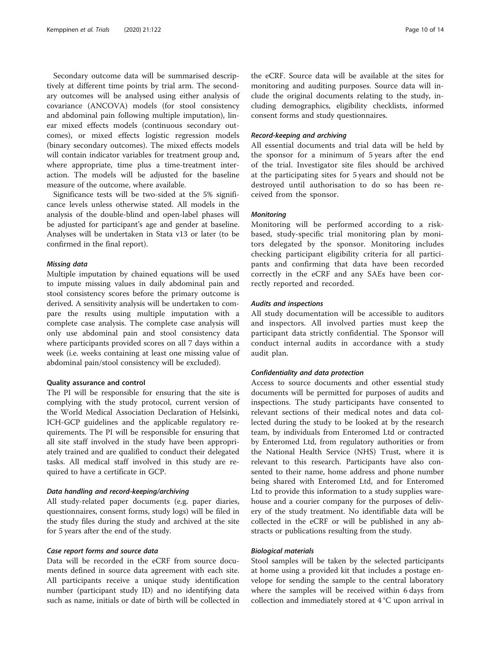<span id="page-9-0"></span>Secondary outcome data will be summarised descriptively at different time points by trial arm. The secondary outcomes will be analysed using either analysis of covariance (ANCOVA) models (for stool consistency and abdominal pain following multiple imputation), linear mixed effects models (continuous secondary outcomes), or mixed effects logistic regression models (binary secondary outcomes). The mixed effects models will contain indicator variables for treatment group and, where appropriate, time plus a time-treatment interaction. The models will be adjusted for the baseline measure of the outcome, where available.

Significance tests will be two-sided at the 5% significance levels unless otherwise stated. All models in the analysis of the double-blind and open-label phases will be adjusted for participant's age and gender at baseline. Analyses will be undertaken in Stata v13 or later (to be confirmed in the final report).

# Missing data

Multiple imputation by chained equations will be used to impute missing values in daily abdominal pain and stool consistency scores before the primary outcome is derived. A sensitivity analysis will be undertaken to compare the results using multiple imputation with a complete case analysis. The complete case analysis will only use abdominal pain and stool consistency data where participants provided scores on all 7 days within a week (i.e. weeks containing at least one missing value of abdominal pain/stool consistency will be excluded).

# Quality assurance and control

The PI will be responsible for ensuring that the site is complying with the study protocol, current version of the World Medical Association Declaration of Helsinki, ICH-GCP guidelines and the applicable regulatory requirements. The PI will be responsible for ensuring that all site staff involved in the study have been appropriately trained and are qualified to conduct their delegated tasks. All medical staff involved in this study are required to have a certificate in GCP.

#### Data handling and record-keeping/archiving

All study-related paper documents (e.g. paper diaries, questionnaires, consent forms, study logs) will be filed in the study files during the study and archived at the site for 5 years after the end of the study.

# Case report forms and source data

Data will be recorded in the eCRF from source documents defined in source data agreement with each site. All participants receive a unique study identification number (participant study ID) and no identifying data such as name, initials or date of birth will be collected in the eCRF. Source data will be available at the sites for monitoring and auditing purposes. Source data will include the original documents relating to the study, including demographics, eligibility checklists, informed consent forms and study questionnaires.

# Record-keeping and archiving

All essential documents and trial data will be held by the sponsor for a minimum of 5 years after the end of the trial. Investigator site files should be archived at the participating sites for 5 years and should not be destroyed until authorisation to do so has been received from the sponsor.

# **Monitoring**

Monitoring will be performed according to a riskbased, study-specific trial monitoring plan by monitors delegated by the sponsor. Monitoring includes checking participant eligibility criteria for all participants and confirming that data have been recorded correctly in the eCRF and any SAEs have been correctly reported and recorded.

# Audits and inspections

All study documentation will be accessible to auditors and inspectors. All involved parties must keep the participant data strictly confidential. The Sponsor will conduct internal audits in accordance with a study audit plan.

### Confidentiality and data protection

Access to source documents and other essential study documents will be permitted for purposes of audits and inspections. The study participants have consented to relevant sections of their medical notes and data collected during the study to be looked at by the research team, by individuals from Enteromed Ltd or contracted by Enteromed Ltd, from regulatory authorities or from the National Health Service (NHS) Trust, where it is relevant to this research. Participants have also consented to their name, home address and phone number being shared with Enteromed Ltd, and for Enteromed Ltd to provide this information to a study supplies warehouse and a courier company for the purposes of delivery of the study treatment. No identifiable data will be collected in the eCRF or will be published in any abstracts or publications resulting from the study.

# Biological materials

Stool samples will be taken by the selected participants at home using a provided kit that includes a postage envelope for sending the sample to the central laboratory where the samples will be received within 6 days from collection and immediately stored at 4 °C upon arrival in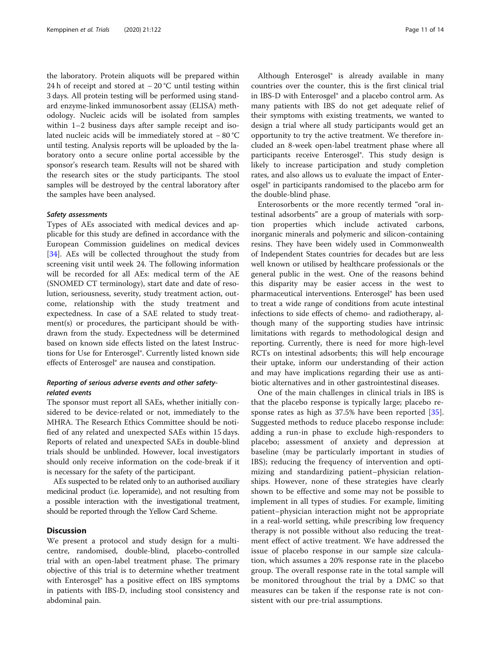the laboratory. Protein aliquots will be prepared within 24 h of receipt and stored at − 20 °C until testing within 3 days. All protein testing will be performed using standard enzyme-linked immunosorbent assay (ELISA) methodology. Nucleic acids will be isolated from samples within 1–2 business days after sample receipt and isolated nucleic acids will be immediately stored at − 80 °C until testing. Analysis reports will be uploaded by the laboratory onto a secure online portal accessible by the sponsor's research team. Results will not be shared with the research sites or the study participants. The stool samples will be destroyed by the central laboratory after the samples have been analysed.

#### Safety assessments

Types of AEs associated with medical devices and applicable for this study are defined in accordance with the European Commission guidelines on medical devices [[34\]](#page-13-0). AEs will be collected throughout the study from screening visit until week 24. The following information will be recorded for all AEs: medical term of the AE (SNOMED CT terminology), start date and date of resolution, seriousness, severity, study treatment action, outcome, relationship with the study treatment and expectedness. In case of a SAE related to study treatment(s) or procedures, the participant should be withdrawn from the study. Expectedness will be determined based on known side effects listed on the latest Instructions for Use for Enterosgel®. Currently listed known side effects of Enterosgel® are nausea and constipation.

# Reporting of serious adverse events and other safetyrelated events

The sponsor must report all SAEs, whether initially considered to be device-related or not, immediately to the MHRA. The Research Ethics Committee should be notified of any related and unexpected SAEs within 15 days. Reports of related and unexpected SAEs in double-blind trials should be unblinded. However, local investigators should only receive information on the code-break if it is necessary for the safety of the participant.

AEs suspected to be related only to an authorised auxiliary medicinal product (i.e. loperamide), and not resulting from a possible interaction with the investigational treatment, should be reported through the Yellow Card Scheme.

# **Discussion**

We present a protocol and study design for a multicentre, randomised, double-blind, placebo-controlled trial with an open-label treatment phase. The primary objective of this trial is to determine whether treatment with Enterosgel® has a positive effect on IBS symptoms in patients with IBS-D, including stool consistency and abdominal pain.

Although Enterosgel® is already available in many countries over the counter, this is the first clinical trial in IBS-D with Enterosgel® and a placebo control arm. As many patients with IBS do not get adequate relief of their symptoms with existing treatments, we wanted to design a trial where all study participants would get an opportunity to try the active treatment. We therefore included an 8-week open-label treatment phase where all participants receive Enterosgel®. This study design is likely to increase participation and study completion rates, and also allows us to evaluate the impact of Enterosgel® in participants randomised to the placebo arm for the double-blind phase.

Enterosorbents or the more recently termed "oral intestinal adsorbents" are a group of materials with sorption properties which include activated carbons, inorganic minerals and polymeric and silicon-containing resins. They have been widely used in Commonwealth of Independent States countries for decades but are less well known or utilised by healthcare professionals or the general public in the west. One of the reasons behind this disparity may be easier access in the west to pharmaceutical interventions. Enterosgel® has been used to treat a wide range of conditions from acute intestinal infections to side effects of chemo- and radiotherapy, although many of the supporting studies have intrinsic limitations with regards to methodological design and reporting. Currently, there is need for more high-level RCTs on intestinal adsorbents; this will help encourage their uptake, inform our understanding of their action and may have implications regarding their use as antibiotic alternatives and in other gastrointestinal diseases.

One of the main challenges in clinical trials in IBS is that the placebo response is typically large; placebo response rates as high as 37.5% have been reported [\[35](#page-13-0)]. Suggested methods to reduce placebo response include: adding a run-in phase to exclude high-responders to placebo; assessment of anxiety and depression at baseline (may be particularly important in studies of IBS); reducing the frequency of intervention and optimizing and standardizing patient–physician relationships. However, none of these strategies have clearly shown to be effective and some may not be possible to implement in all types of studies. For example, limiting patient–physician interaction might not be appropriate in a real-world setting, while prescribing low frequency therapy is not possible without also reducing the treatment effect of active treatment. We have addressed the issue of placebo response in our sample size calculation, which assumes a 20% response rate in the placebo group. The overall response rate in the total sample will be monitored throughout the trial by a DMC so that measures can be taken if the response rate is not consistent with our pre-trial assumptions.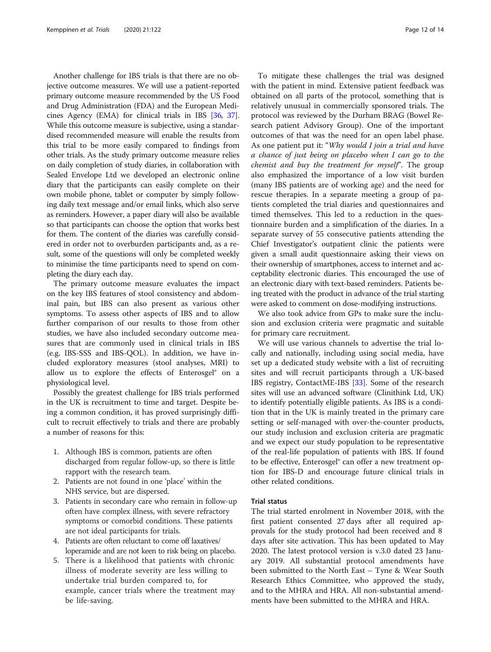Another challenge for IBS trials is that there are no objective outcome measures. We will use a patient-reported primary outcome measure recommended by the US Food and Drug Administration (FDA) and the European Medicines Agency (EMA) for clinical trials in IBS [[36](#page-13-0), [37](#page-13-0)]. While this outcome measure is subjective, using a standardised recommended measure will enable the results from this trial to be more easily compared to findings from other trials. As the study primary outcome measure relies on daily completion of study diaries, in collaboration with Sealed Envelope Ltd we developed an electronic online diary that the participants can easily complete on their own mobile phone, tablet or computer by simply following daily text message and/or email links, which also serve as reminders. However, a paper diary will also be available so that participants can choose the option that works best for them. The content of the diaries was carefully considered in order not to overburden participants and, as a result, some of the questions will only be completed weekly to minimise the time participants need to spend on completing the diary each day.

The primary outcome measure evaluates the impact on the key IBS features of stool consistency and abdominal pain, but IBS can also present as various other symptoms. To assess other aspects of IBS and to allow further comparison of our results to those from other studies, we have also included secondary outcome measures that are commonly used in clinical trials in IBS (e.g. IBS-SSS and IBS-QOL). In addition, we have included exploratory measures (stool analyses, MRI) to allow us to explore the effects of Enterosgel® on a physiological level.

Possibly the greatest challenge for IBS trials performed in the UK is recruitment to time and target. Despite being a common condition, it has proved surprisingly difficult to recruit effectively to trials and there are probably a number of reasons for this:

- 1. Although IBS is common, patients are often discharged from regular follow-up, so there is little rapport with the research team.
- 2. Patients are not found in one 'place' within the NHS service, but are dispersed.
- 3. Patients in secondary care who remain in follow-up often have complex illness, with severe refractory symptoms or comorbid conditions. These patients are not ideal participants for trials.
- 4. Patients are often reluctant to come off laxatives/ loperamide and are not keen to risk being on placebo.
- 5. There is a likelihood that patients with chronic illness of moderate severity are less willing to undertake trial burden compared to, for example, cancer trials where the treatment may be life-saving.

To mitigate these challenges the trial was designed with the patient in mind. Extensive patient feedback was obtained on all parts of the protocol, something that is relatively unusual in commercially sponsored trials. The protocol was reviewed by the Durham BRAG (Bowel Research patient Advisory Group). One of the important outcomes of that was the need for an open label phase. As one patient put it: "Why would I join a trial and have a chance of just being on placebo when I can go to the chemist and buy the treatment for myself". The group also emphasized the importance of a low visit burden (many IBS patients are of working age) and the need for rescue therapies. In a separate meeting a group of patients completed the trial diaries and questionnaires and timed themselves. This led to a reduction in the questionnaire burden and a simplification of the diaries. In a separate survey of 55 consecutive patients attending the Chief Investigator's outpatient clinic the patients were given a small audit questionnaire asking their views on their ownership of smartphones, access to internet and acceptability electronic diaries. This encouraged the use of an electronic diary with text-based reminders. Patients being treated with the product in advance of the trial starting were asked to comment on dose-modifying instructions.

We also took advice from GPs to make sure the inclusion and exclusion criteria were pragmatic and suitable for primary care recruitment.

We will use various channels to advertise the trial locally and nationally, including using social media, have set up a dedicated study website with a list of recruiting sites and will recruit participants through a UK-based IBS registry, ContactME-IBS [[33](#page-13-0)]. Some of the research sites will use an advanced software (Clinithink Ltd, UK) to identify potentially eligible patients. As IBS is a condition that in the UK is mainly treated in the primary care setting or self-managed with over-the-counter products, our study inclusion and exclusion criteria are pragmatic and we expect our study population to be representative of the real-life population of patients with IBS. If found to be effective, Enterosgel® can offer a new treatment option for IBS-D and encourage future clinical trials in other related conditions.

# Trial status

The trial started enrolment in November 2018, with the first patient consented 27 days after all required approvals for the study protocol had been received and 8 days after site activation. This has been updated to May 2020. The latest protocol version is v.3.0 dated 23 January 2019. All substantial protocol amendments have been submitted to the North East – Tyne & Wear South Research Ethics Committee, who approved the study, and to the MHRA and HRA. All non-substantial amendments have been submitted to the MHRA and HRA.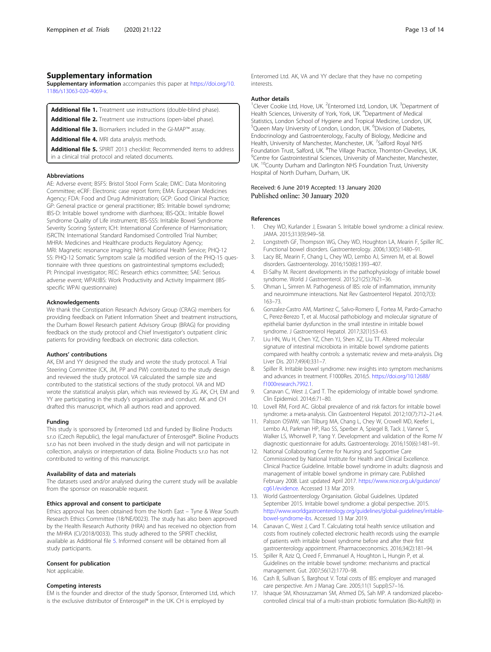# <span id="page-12-0"></span>Supplementary information

Supplementary information accompanies this paper at [https://doi.org/10.](https://doi.org/10.1186/s13063-020-4069-x) [1186/s13063-020-4069-x](https://doi.org/10.1186/s13063-020-4069-x).

| Additional file 1. Treatment use instructions (double-blind phase). |  |  |
|---------------------------------------------------------------------|--|--|
|---------------------------------------------------------------------|--|--|

Additional file 2. Treatment use instructions (open-label phase).

Additional file 3. Biomarkers included in the GI-MAP™ assay.

Additional file 4. MRI data analysis methods.

Additional file 5. SPIRIT 2013 checklist: Recommended items to address in a clinical trial protocol and related documents.

#### Abbreviations

AE: Adverse event; BSFS: Bristol Stool Form Scale; DMC: Data Monitoring Committee; eCRF: Electronic case report form; EMA: European Medicines Agency; FDA: Food and Drug Administration; GCP: Good Clinical Practice; GP: General practice or general practitioner; IBS: Irritable bowel syndrome; IBS-D: Irritable bowel syndrome with diarrhoea; IBS-QOL: Irritable Bowel Syndrome Quality of Life instrument; IBS-SSS: Irritable Bowel Syndrome Severity Scoring System; ICH: International Conference of Harmonisation; ISRCTN: International Standard Randomised Controlled Trial Number; MHRA: Medicines and Healthcare products Regulatory Agency; MRI: Magnetic resonance imaging; NHS: National Health Service; PHQ-12 SS: PHQ-12 Somatic Symptom scale (a modified version of the PHQ-15 questionnaire with three questions on gastrointestinal symptoms excluded); PI: Principal investigator; REC: Research ethics committee; SAE: Serious adverse event; WPAI:IBS: Work Productivity and Activity Impairment (IBSspecific WPAI questionnaire)

#### Acknowledgements

We thank the Constipation Research Advisory Group (CRAG) members for providing feedback on Patient Information Sheet and treatment instructions, the Durham Bowel Research patient Advisory Group (BRAG) for providing feedback on the study protocol and Chief Investigator's outpatient clinic patients for providing feedback on electronic data collection.

# Authors' contributions

AK, EM and YY designed the study and wrote the study protocol. A Trial Steering Committee (CK, JM, PP and PW) contributed to the study design and reviewed the study protocol. VA calculated the sample size and contributed to the statistical sections of the study protocol. VA and MD wrote the statistical analysis plan, which was reviewed by JG. AK, CH, EM and YY are participating in the study's organisation and conduct. AK and CH drafted this manuscript, which all authors read and approved.

#### Funding

This study is sponsored by Enteromed Ltd and funded by Bioline Products s.r.o (Czech Republic), the legal manufacturer of Enterosgel®. Bioline Products s.r.o has not been involved in the study design and will not participate in collection, analysis or interpretation of data. Bioline Products s.r.o has not contributed to writing of this manuscript.

#### Availability of data and materials

The datasets used and/or analysed during the current study will be available from the sponsor on reasonable request.

#### Ethics approval and consent to participate

Ethics approval has been obtained from the North East – Tyne & Wear South Research Ethics Committee (18/NE/0023). The study has also been approved by the Health Research Authority (HRA) and has received no objection from the MHRA (CI/2018/0033). This study adhered to the SPIRIT checklist, available as Additional file 5. Informed consent will be obtained from all study participants.

#### Consent for publication

Not applicable.

#### Competing interests

EM is the founder and director of the study Sponsor, Enteromed Ltd, which is the exclusive distributor of Enterosgel® in the UK. CH is employed by

Enteromed Ltd. AK, VA and YY declare that they have no competing interests.

#### Author details

<sup>1</sup>Clever Cookie Ltd, Hove, UK. <sup>2</sup>Enteromed Ltd, London, UK. <sup>3</sup>Department of Health Sciences, University of York, York, UK. <sup>4</sup>Department of Medical Statistics, London School of Hygiene and Tropical Medicine, London, UK. <sup>5</sup>Queen Mary University of London, London, UK. <sup>6</sup>Division of Diabetes, Endocrinology and Gastroenterology, Faculty of Biology, Medicine and Health, University of Manchester, Manchester, UK. <sup>7</sup>Salford Royal NHS Foundation Trust, Salford, UK. <sup>8</sup>The Village Practice, Thornton-Cleveleys, UK<br><sup>9</sup>Centre for Gastrointestinal Sciences University of Manchester, Manchester <sup>9</sup> Centre for Gastrointestinal Sciences, University of Manchester, Manchester, UK.<sup>10</sup>County Durham and Darlington NHS Foundation Trust, University Hospital of North Durham, Durham, UK.

# Received: 6 June 2019 Accepted: 13 January 2020 Published online: 30 January 2020

# References

- 1. Chey WD, Kurlander J, Eswaran S. Irritable bowel syndrome: a clinical review. JAMA. 2015;313(9):949–58.
- 2. Longstreth GF, Thompson WG, Chey WD, Houghton LA, Mearin F, Spiller RC. Functional bowel disorders. Gastroenterology. 2006;130(5):1480–91.
- 3. Lacy BE, Mearin F, Chang L, Chey WD, Lembo AJ, Simren M, et al. Bowel disorders. Gastroenterology. 2016;150(6):1393–407.
- 4. El-Salhy M. Recent developments in the pathophysiology of irritable bowel syndrome. World J Gastroenterol. 2015;21(25):7621–36.
- 5. Ohman L, Simren M. Pathogenesis of IBS: role of inflammation, immunity and neuroimmune interactions. Nat Rev Gastroenterol Hepatol. 2010;7(3): 163–73.
- 6. Gonzalez-Castro AM, Martinez C, Salvo-Romero E, Fortea M, Pardo-Camacho C, Perez-Berezo T, et al. Mucosal pathobiology and molecular signature of epithelial barrier dysfunction in the small intestine in irritable bowel syndrome. J Gastroenterol Hepatol. 2017;32(1):53–63.
- 7. Liu HN, Wu H, Chen YZ, Chen YJ, Shen XZ, Liu TT. Altered molecular signature of intestinal microbiota in irritable bowel syndrome patients compared with healthy controls: a systematic review and meta-analysis. Dig Liver Dis. 2017;49(4):331–7.
- Spiller R. Irritable bowel syndrome: new insights into symptom mechanisms and advances in treatment. F1000Res. 2016;5. [https://doi.org/10.12688/](https://doi.org/10.12688/f1000research.7992.1) [f1000research.7992.1](https://doi.org/10.12688/f1000research.7992.1).
- 9. Canavan C, West J, Card T. The epidemiology of irritable bowel syndrome. Clin Epidemiol. 2014;6:71–80.
- 10. Lovell RM, Ford AC. Global prevalence of and risk factors for irritable bowel syndrome: a meta-analysis. Clin Gastroenterol Hepatol. 2012;10(7):712–21.e4.
- 11. Palsson OSWW, van Tilburg MA, Chang L, Chey W, Crowell MD, Keefer L, Lembo AJ, Parkman HP, Rao SS, Sperber A, Spiegel B, Tack J, Vanner S, Walker LS, Whorwell P, Yang Y. Development and validation of the Rome IV diagnostic questionnaire for adults. Gastroenterology. 2016;150(6):1481–91.
- 12. National Collaborating Centre for Nursing and Supportive Care Commissioned by National Institute for Health and Clinical Excellence. Clinical Practice Guideline. Irritable bowel syndrome in adults: diagnosis and management of irritable bowel syndrome in primary care. Published February 2008. Last updated April 2017. [https://www.nice.org.uk/guidance/](https://www.nice.org.uk/guidance/cg61/evidence) [cg61/evidence.](https://www.nice.org.uk/guidance/cg61/evidence) Accessed 13 Mar 2019.
- 13. World Gastroenterology Organisation. Global Guidelines. Updated September 2015. Irritable bowel syndrome: a global perspective. 2015. [http://www.worldgastroenterology.org/guidelines/global-guidelines/irritable](http://www.worldgastroenterology.org/guidelines/global-guidelines/irritable-bowel-syndrome-ibs)[bowel-syndrome-ibs.](http://www.worldgastroenterology.org/guidelines/global-guidelines/irritable-bowel-syndrome-ibs) Accessed 13 Mar 2019.
- 14. Canavan C, West J, Card T. Calculating total health service utilisation and costs from routinely collected electronic health records using the example of patients with irritable bowel syndrome before and after their first gastroenterology appointment. Pharmacoeconomics. 2016;34(2):181–94.
- 15. Spiller R, Aziz Q, Creed F, Emmanuel A, Houghton L, Hungin P, et al. Guidelines on the irritable bowel syndrome: mechanisms and practical management. Gut. 2007;56(12):1770–98.
- 16. Cash B, Sullivan S, Barghout V. Total costs of IBS: employer and managed care perspective. Am J Manag Care. 2005;11(1 Suppl):S7–16.
- 17. Ishaque SM, Khosruzzaman SM, Ahmed DS, Sah MP. A randomized placebocontrolled clinical trial of a multi-strain probiotic formulation (Bio-Kult(R)) in